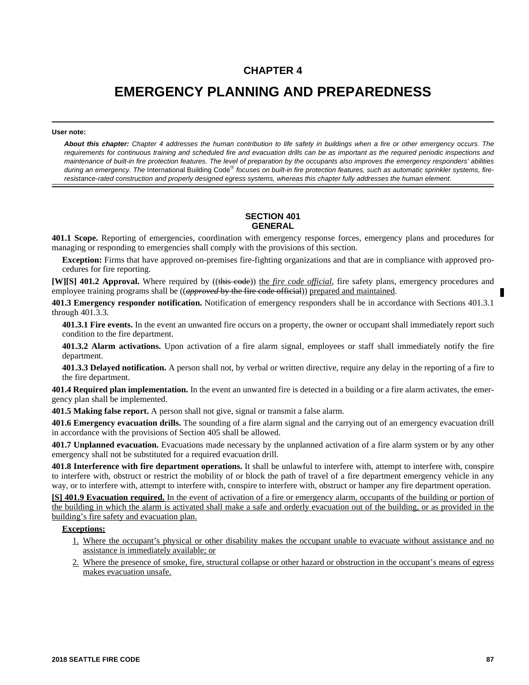# **CHAPTER 4**

# **EMERGENCY PLANNING AND PREPAREDNESS**

#### **User note:**

*About this chapter: Chapter 4 addresses the human contribution to life safety in buildings when a fire or other emergency occurs. The requirements for continuous training and scheduled fire and evacuation drills can be as important as the required periodic inspections and maintenance of built-in fire protection features. The level of preparation by the occupants also improves the emergency responders' abilities* during an emergency. The International Building Code<sup>®</sup> focuses on built-in fire protection features, such as automatic sprinkler systems, fire*resistance-rated construction and properly designed egress systems, whereas this chapter fully addresses the human element.* 

#### **SECTION 401 GENERAL**

**401.1 Scope.** Reporting of emergencies, coordination with emergency response forces, emergency plans and procedures for managing or responding to emergencies shall comply with the provisions of this section.

**Exception:** Firms that have approved on-premises fire-fighting organizations and that are in compliance with approved procedures for fire reporting.

**[W][S] 401.2 Approval.** Where required by ((this code)) the *fire code official*, fire safety plans, emergency procedures and employee training programs shall be ((*approved* by the fire code official)) prepared and maintained.

**401.3 Emergency responder notification.** Notification of emergency responders shall be in accordance with Sections 401.3.1 through 401.3.3.

**401.3.1 Fire events.** In the event an unwanted fire occurs on a property, the owner or occupant shall immediately report such condition to the fire department.

**401.3.2 Alarm activations.** Upon activation of a fire alarm signal, employees or staff shall immediately notify the fire department.

**401.3.3 Delayed notification.** A person shall not, by verbal or written directive, require any delay in the reporting of a fire to the fire department.

**401.4 Required plan implementation.** In the event an unwanted fire is detected in a building or a fire alarm activates, the emergency plan shall be implemented.

**401.5 Making false report.** A person shall not give, signal or transmit a false alarm.

**401.6 Emergency evacuation drills.** The sounding of a fire alarm signal and the carrying out of an emergency evacuation drill in accordance with the provisions of Section 405 shall be allowed.

**401.7 Unplanned evacuation.** Evacuations made necessary by the unplanned activation of a fire alarm system or by any other emergency shall not be substituted for a required evacuation drill.

**401.8 Interference with fire department operations.** It shall be unlawful to interfere with, attempt to interfere with, conspire to interfere with, obstruct or restrict the mobility of or block the path of travel of a fire department emergency vehicle in any way, or to interfere with, attempt to interfere with, conspire to interfere with, obstruct or hamper any fire department operation.

**[S] 401.9 Evacuation required.** In the event of activation of a fire or emergency alarm, occupants of the building or portion of the building in which the alarm is activated shall make a safe and orderly evacuation out of the building, or as provided in the building's fire safety and evacuation plan.

#### **Exceptions:**

- 1. Where the occupant's physical or other disability makes the occupant unable to evacuate without assistance and no assistance is immediately available; or
- 2. Where the presence of smoke, fire, structural collapse or other hazard or obstruction in the occupant's means of egress makes evacuation unsafe.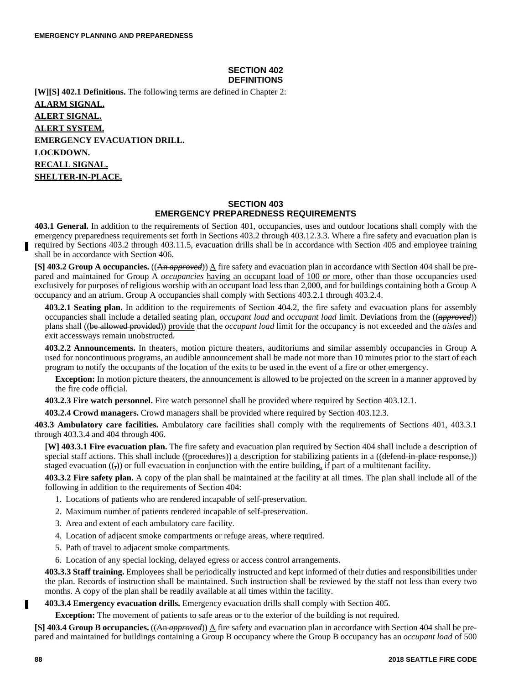# **SECTION 402 DEFINITIONS**

**[W][S] 402.1 Definitions.** The following terms are defined in Chapter 2: **ALARM SIGNAL. ALERT SIGNAL. ALERT SYSTEM. EMERGENCY EVACUATION DRILL. LOCKDOWN. RECALL SIGNAL. SHELTER-IN-PLACE.**

# **SECTION 403 EMERGENCY PREPAREDNESS REQUIREMENTS**

**403.1 General.** In addition to the requirements of Section 401, occupancies, uses and outdoor locations shall comply with the emergency preparedness requirements set forth in Sections 403.2 through 403.12.3.3. Where a fire safety and evacuation plan is required by Sections 403.2 through 403.11.5, evacuation drills shall be in accordance with Section 405 and employee training shall be in accordance with Section 406.

**[S] 403.2 Group A occupancies.** ((An *approved*))  $\underline{A}$  fire safety and evacuation plan in accordance with Section 404 shall be prepared and maintained for Group A *occupancies* having an occupant load of 100 or more, other than those occupancies used exclusively for purposes of religious worship with an occupant load less than 2,000, and for buildings containing both a Group A occupancy and an atrium. Group A occupancies shall comply with Sections 403.2.1 through 403.2.4.

**403.2.1 Seating plan.** In addition to the requirements of Section 404.2, the fire safety and evacuation plans for assembly occupancies shall include a detailed seating plan, *occupant load* and *occupant load* limit. Deviations from the ((*approved*)) plans shall ((be allowed provided)) provide that the *occupant load* limit for the occupancy is not exceeded and the *aisles* and exit accessways remain unobstructed.

**403.2.2 Announcements.** In theaters, motion picture theaters, auditoriums and similar assembly occupancies in Group A used for noncontinuous programs, an audible announcement shall be made not more than 10 minutes prior to the start of each program to notify the occupants of the location of the exits to be used in the event of a fire or other emergency.

**Exception:** In motion picture theaters, the announcement is allowed to be projected on the screen in a manner approved by the fire code official.

**403.2.3 Fire watch personnel.** Fire watch personnel shall be provided where required by Section 403.12.1.

**403.2.4 Crowd managers.** Crowd managers shall be provided where required by Section 403.12.3.

**403.3 Ambulatory care facilities.** Ambulatory care facilities shall comply with the requirements of Sections 401, 403.3.1 through 403.3.4 and 404 through 406.

**[W] 403.3.1 Fire evacuation plan.** The fire safety and evacuation plan required by Section 404 shall include a description of special staff actions. This shall include ((procedures)) a description for stabilizing patients in a ((defend-in-place response,)) staged evacuation  $((,))$  or full evacuation in conjunction with the entire building, if part of a multitenant facility.

**403.3.2 Fire safety plan.** A copy of the plan shall be maintained at the facility at all times. The plan shall include all of the following in addition to the requirements of Section 404:

- 1. Locations of patients who are rendered incapable of self-preservation.
- 2. Maximum number of patients rendered incapable of self-preservation.
- 3. Area and extent of each ambulatory care facility.
- 4. Location of adjacent smoke compartments or refuge areas, where required.
- 5. Path of travel to adjacent smoke compartments.
- 6. Location of any special locking, delayed egress or access control arrangements.

**403.3.3 Staff training.** Employees shall be periodically instructed and kept informed of their duties and responsibilities under the plan. Records of instruction shall be maintained. Such instruction shall be reviewed by the staff not less than every two months. A copy of the plan shall be readily available at all times within the facility.

# **403.3.4 Emergency evacuation drills.** Emergency evacuation drills shall comply with Section 405.

**Exception:** The movement of patients to safe areas or to the exterior of the building is not required.

**[S] 403.4 Group B occupancies.** ((An *approved*)) A fire safety and evacuation plan in accordance with Section 404 shall be prepared and maintained for buildings containing a Group B occupancy where the Group B occupancy has an *occupant load* of 500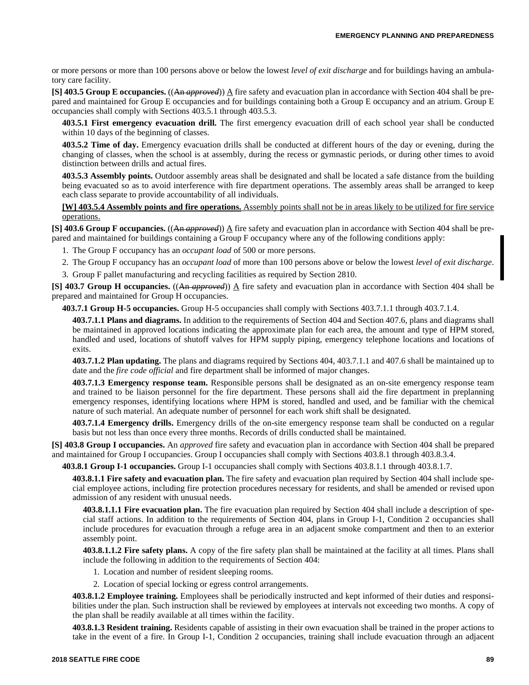or more persons or more than 100 persons above or below the lowest *level of exit discharge* and for buildings having an ambulatory care facility.

**[S] 403.5 Group E occupancies.** ((An *approved*)) A fire safety and evacuation plan in accordance with Section 404 shall be prepared and maintained for Group E occupancies and for buildings containing both a Group E occupancy and an atrium. Group E occupancies shall comply with Sections 403.5.1 through 403.5.3.

**403.5.1 First emergency evacuation drill.** The first emergency evacuation drill of each school year shall be conducted within 10 days of the beginning of classes.

**403.5.2 Time of day.** Emergency evacuation drills shall be conducted at different hours of the day or evening, during the changing of classes, when the school is at assembly, during the recess or gymnastic periods, or during other times to avoid distinction between drills and actual fires.

**403.5.3 Assembly points.** Outdoor assembly areas shall be designated and shall be located a safe distance from the building being evacuated so as to avoid interference with fire department operations. The assembly areas shall be arranged to keep each class separate to provide accountability of all individuals.

**[W] 403.5.4 Assembly points and fire operations.** Assembly points shall not be in areas likely to be utilized for fire service operations.

**[S] 403.6 Group F occupancies.** ((An *approved*))  $\Delta$  fire safety and evacuation plan in accordance with Section 404 shall be prepared and maintained for buildings containing a Group F occupancy where any of the following conditions apply:

1. The Group F occupancy has an *occupant load* of 500 or more persons.

2. The Group F occupancy has an *occupant load* of more than 100 persons above or below the lowest *level of exit discharge*.

3. Group F pallet manufacturing and recycling facilities as required by Section 2810.

**[S] 403.7 Group H occupancies.** ((An *approved*)) A fire safety and evacuation plan in accordance with Section 404 shall be prepared and maintained for Group H occupancies.

**403.7.1 Group H-5 occupancies.** Group H-5 occupancies shall comply with Sections 403.7.1.1 through 403.7.1.4.

**403.7.1.1 Plans and diagrams.** In addition to the requirements of Section 404 and Section 407.6, plans and diagrams shall be maintained in approved locations indicating the approximate plan for each area, the amount and type of HPM stored, handled and used, locations of shutoff valves for HPM supply piping, emergency telephone locations and locations of exits.

**403.7.1.2 Plan updating.** The plans and diagrams required by Sections 404, 403.7.1.1 and 407.6 shall be maintained up to date and the *fire code official* and fire department shall be informed of major changes.

**403.7.1.3 Emergency response team.** Responsible persons shall be designated as an on-site emergency response team and trained to be liaison personnel for the fire department. These persons shall aid the fire department in preplanning emergency responses, identifying locations where HPM is stored, handled and used, and be familiar with the chemical nature of such material. An adequate number of personnel for each work shift shall be designated.

**403.7.1.4 Emergency drills.** Emergency drills of the on-site emergency response team shall be conducted on a regular basis but not less than once every three months. Records of drills conducted shall be maintained.

**[S] 403.8 Group I occupancies.** An *approved* fire safety and evacuation plan in accordance with Section 404 shall be prepared and maintained for Group I occupancies. Group I occupancies shall comply with Sections 403.8.1 through 403.8.3.4.

**403.8.1 Group I-1 occupancies.** Group I-1 occupancies shall comply with Sections 403.8.1.1 through 403.8.1.7.

**403.8.1.1 Fire safety and evacuation plan.** The fire safety and evacuation plan required by Section 404 shall include special employee actions, including fire protection procedures necessary for residents, and shall be amended or revised upon admission of any resident with unusual needs.

**403.8.1.1.1 Fire evacuation plan.** The fire evacuation plan required by Section 404 shall include a description of special staff actions. In addition to the requirements of Section 404, plans in Group I-1, Condition 2 occupancies shall include procedures for evacuation through a refuge area in an adjacent smoke compartment and then to an exterior assembly point.

**403.8.1.1.2 Fire safety plans.** A copy of the fire safety plan shall be maintained at the facility at all times. Plans shall include the following in addition to the requirements of Section 404:

- 1. Location and number of resident sleeping rooms.
- 2. Location of special locking or egress control arrangements.

**403.8.1.2 Employee training.** Employees shall be periodically instructed and kept informed of their duties and responsibilities under the plan. Such instruction shall be reviewed by employees at intervals not exceeding two months. A copy of the plan shall be readily available at all times within the facility.

**403.8.1.3 Resident training.** Residents capable of assisting in their own evacuation shall be trained in the proper actions to take in the event of a fire. In Group I-1, Condition 2 occupancies, training shall include evacuation through an adjacent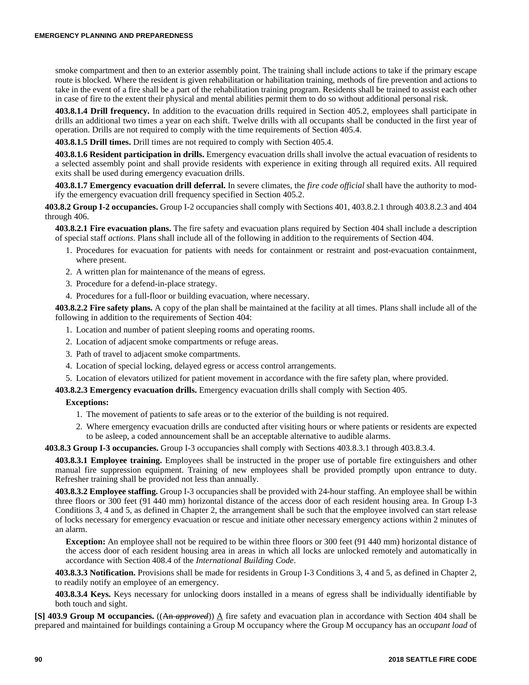smoke compartment and then to an exterior assembly point. The training shall include actions to take if the primary escape route is blocked. Where the resident is given rehabilitation or habilitation training, methods of fire prevention and actions to take in the event of a fire shall be a part of the rehabilitation training program. Residents shall be trained to assist each other in case of fire to the extent their physical and mental abilities permit them to do so without additional personal risk.

**403.8.1.4 Drill frequency.** In addition to the evacuation drills required in Section 405.2, employees shall participate in drills an additional two times a year on each shift. Twelve drills with all occupants shall be conducted in the first year of operation. Drills are not required to comply with the time requirements of Section 405.4.

**403.8.1.5 Drill times.** Drill times are not required to comply with Section 405.4.

**403.8.1.6 Resident participation in drills.** Emergency evacuation drills shall involve the actual evacuation of residents to a selected assembly point and shall provide residents with experience in exiting through all required exits. All required exits shall be used during emergency evacuation drills.

**403.8.1.7 Emergency evacuation drill deferral.** In severe climates, the *fire code official* shall have the authority to modify the emergency evacuation drill frequency specified in Section 405.2.

**403.8.2 Group I-2 occupancies.** Group I-2 occupancies shall comply with Sections 401, 403.8.2.1 through 403.8.2.3 and 404 through 406.

**403.8.2.1 Fire evacuation plans.** The fire safety and evacuation plans required by Section 404 shall include a description of special staff *actions*. Plans shall include all of the following in addition to the requirements of Section 404.

- 1. Procedures for evacuation for patients with needs for containment or restraint and post-evacuation containment, where present.
- 2. A written plan for maintenance of the means of egress.
- 3. Procedure for a defend-in-place strategy.
- 4. Procedures for a full-floor or building evacuation, where necessary.

**403.8.2.2 Fire safety plans.** A copy of the plan shall be maintained at the facility at all times. Plans shall include all of the following in addition to the requirements of Section 404:

- 1. Location and number of patient sleeping rooms and operating rooms.
- 2. Location of adjacent smoke compartments or refuge areas.
- 3. Path of travel to adjacent smoke compartments.
- 4. Location of special locking, delayed egress or access control arrangements.
- 5. Location of elevators utilized for patient movement in accordance with the fire safety plan, where provided.

**403.8.2.3 Emergency evacuation drills.** Emergency evacuation drills shall comply with Section 405.

# **Exceptions:**

- 1. The movement of patients to safe areas or to the exterior of the building is not required.
- 2. Where emergency evacuation drills are conducted after visiting hours or where patients or residents are expected to be asleep, a coded announcement shall be an acceptable alternative to audible alarms.

**403.8.3 Group I-3 occupancies.** Group I-3 occupancies shall comply with Sections 403.8.3.1 through 403.8.3.4.

**403.8.3.1 Employee training.** Employees shall be instructed in the proper use of portable fire extinguishers and other manual fire suppression equipment. Training of new employees shall be provided promptly upon entrance to duty. Refresher training shall be provided not less than annually.

**403.8.3.2 Employee staffing.** Group I-3 occupancies shall be provided with 24-hour staffing. An employee shall be within three floors or 300 feet (91 440 mm) horizontal distance of the access door of each resident housing area. In Group I-3 Conditions 3, 4 and 5, as defined in Chapter 2, the arrangement shall be such that the employee involved can start release of locks necessary for emergency evacuation or rescue and initiate other necessary emergency actions within 2 minutes of an alarm.

**Exception:** An employee shall not be required to be within three floors or 300 feet (91 440 mm) horizontal distance of the access door of each resident housing area in areas in which all locks are unlocked remotely and automatically in accordance with Section 408.4 of the *International Building Code*.

**403.8.3.3 Notification.** Provisions shall be made for residents in Group I-3 Conditions 3, 4 and 5, as defined in Chapter 2, to readily notify an employee of an emergency.

**403.8.3.4 Keys.** Keys necessary for unlocking doors installed in a means of egress shall be individually identifiable by both touch and sight.

**[S] 403.9 Group M occupancies.** ((An *approved*)) A fire safety and evacuation plan in accordance with Section 404 shall be prepared and maintained for buildings containing a Group M occupancy where the Group M occupancy has an *occupant load* of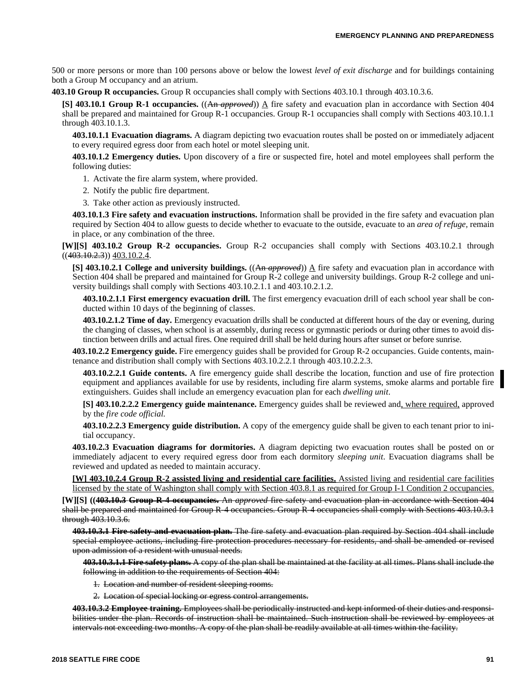500 or more persons or more than 100 persons above or below the lowest *level of exit discharge* and for buildings containing both a Group M occupancy and an atrium.

**403.10 Group R occupancies.** Group R occupancies shall comply with Sections 403.10.1 through 403.10.3.6.

**[S] 403.10.1 Group R-1 occupancies.**  $((An$  *approved* $))$   $\Delta$  fire safety and evacuation plan in accordance with Section 404 shall be prepared and maintained for Group R-1 occupancies. Group R-1 occupancies shall comply with Sections 403.10.1.1 through 403.10.1.3.

**403.10.1.1 Evacuation diagrams.** A diagram depicting two evacuation routes shall be posted on or immediately adjacent to every required egress door from each hotel or motel sleeping unit.

**403.10.1.2 Emergency duties.** Upon discovery of a fire or suspected fire, hotel and motel employees shall perform the following duties:

1. Activate the fire alarm system, where provided.

2. Notify the public fire department.

3. Take other action as previously instructed.

**403.10.1.3 Fire safety and evacuation instructions.** Information shall be provided in the fire safety and evacuation plan required by Section 404 to allow guests to decide whether to evacuate to the outside, evacuate to an *area of refuge,* remain in place, or any combination of the three.

**[W][S] 403.10.2 Group R-2 occupancies.** Group R-2 occupancies shall comply with Sections 403.10.2.1 through  $((403.10.2.3))$  403.10.2.4.

**[S] 403.10.2.1 College and university buildings.** ((An *approved*))  $\underline{A}$  fire safety and evacuation plan in accordance with Section 404 shall be prepared and maintained for Group R-2 college and university buildings. Group R-2 college and university buildings shall comply with Sections 403.10.2.1.1 and 403.10.2.1.2.

**403.10.2.1.1 First emergency evacuation drill.** The first emergency evacuation drill of each school year shall be conducted within 10 days of the beginning of classes.

**403.10.2.1.2 Time of day.** Emergency evacuation drills shall be conducted at different hours of the day or evening, during the changing of classes, when school is at assembly, during recess or gymnastic periods or during other times to avoid distinction between drills and actual fires. One required drill shall be held during hours after sunset or before sunrise.

**403.10.2.2 Emergency guide.** Fire emergency guides shall be provided for Group R-2 occupancies. Guide contents, maintenance and distribution shall comply with Sections 403.10.2.2.1 through 403.10.2.2.3.

**403.10.2.2.1 Guide contents.** A fire emergency guide shall describe the location, function and use of fire protection equipment and appliances available for use by residents, including fire alarm systems, smoke alarms and portable fire extinguishers. Guides shall include an emergency evacuation plan for each *dwelling unit*.

**[S] 403.10.2.2.2 Emergency guide maintenance.** Emergency guides shall be reviewed and, where required, approved by the *fire code official.*

**403.10.2.2.3 Emergency guide distribution.** A copy of the emergency guide shall be given to each tenant prior to initial occupancy.

**403.10.2.3 Evacuation diagrams for dormitories.** A diagram depicting two evacuation routes shall be posted on or immediately adjacent to every required egress door from each dormitory *sleeping unit*. Evacuation diagrams shall be reviewed and updated as needed to maintain accuracy.

**[W] 403.10.2.4 Group R-2 assisted living and residential care facilities.** Assisted living and residential care facilities licensed by the state of Washington shall comply with Section 403.8.1 as required for Group I-1 Condition 2 occupancies.

**[W][S] ((403.10.3 Group R-4 occupancies.** An *approved* fire safety and evacuation plan in accordance with Section 404 shall be prepared and maintained for Group R-4 occupancies. Group R-4 occupancies shall comply with Sections 403.10.3.1 through 403.10.3.6.

**403.10.3.1 Fire safety and evacuation plan.** The fire safety and evacuation plan required by Section 404 shall include special employee actions, including fire protection procedures necessary for residents, and shall be amended or revised upon admission of a resident with unusual needs.

**403.10.3.1.1 Fire safety plans.** A copy of the plan shall be maintained at the facility at all times. Plans shall include the following in addition to the requirements of Section 404:

- 1. Location and number of resident sleeping rooms.
- 2. Location of special locking or egress control arrangements.

**403.10.3.2 Employee training.** Employees shall be periodically instructed and kept informed of their duties and responsibilities under the plan. Records of instruction shall be maintained. Such instruction shall be reviewed by employees at intervals not exceeding two months. A copy of the plan shall be readily available at all times within the facility.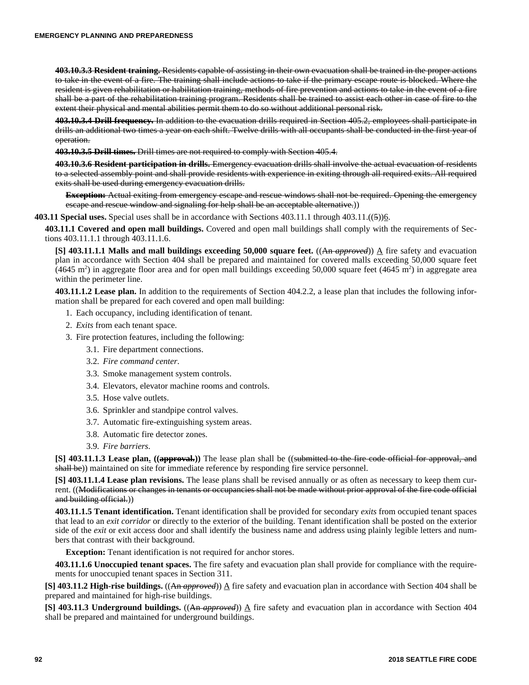**403.10.3.3 Resident training.** Residents capable of assisting in their own evacuation shall be trained in the proper actions to take in the event of a fire. The training shall include actions to take if the primary escape route is blocked. Where the resident is given rehabilitation or habilitation training, methods of fire prevention and actions to take in the event of a fire shall be a part of the rehabilitation training program. Residents shall be trained to assist each other in case of fire to the extent their physical and mental abilities permit them to do so without additional personal risk.

**403.10.3.4 Drill frequency.** In addition to the evacuation drills required in Section 405.2, employees shall participate in drills an additional two times a year on each shift. Twelve drills with all occupants shall be conducted in the first year of operation.

**403.10.3.5 Drill times.** Drill times are not required to comply with Section 405.4.

**403.10.3.6 Resident participation in drills.** Emergency evacuation drills shall involve the actual evacuation of residents to a selected assembly point and shall provide residents with experience in exiting through all required exits. All required exits shall be used during emergency evacuation drills.

**Exception:** Actual exiting from emergency escape and rescue windows shall not be required. Opening the emergency escape and rescue window and signaling for help shall be an acceptable alternative.))

**403.11 Special uses.** Special uses shall be in accordance with Sections 403.11.1 through 403.11.((5))6.

**403.11.1 Covered and open mall buildings.** Covered and open mall buildings shall comply with the requirements of Sections 403.11.1.1 through 403.11.1.6.

**[S] 403.11.1.1 Malls and mall buildings exceeding 50,000 square feet.**  $((A<sub>n</sub> \textit{approved})) \triangleq$  fire safety and evacuation plan in accordance with Section 404 shall be prepared and maintained for covered malls exceeding 50,000 square feet  $(4645 \text{ m}^2)$  in aggregate floor area and for open mall buildings exceeding 50,000 square feet (4645 m<sup>2</sup>) in aggregate area within the perimeter line.

**403.11.1.2 Lease plan.** In addition to the requirements of Section 404.2.2, a lease plan that includes the following information shall be prepared for each covered and open mall building:

- 1. Each occupancy, including identification of tenant.
- 2. *Exits* from each tenant space.
- 3. Fire protection features, including the following:
	- 3.1. Fire department connections.
	- 3.2. *Fire command center*.
	- 3.3. Smoke management system controls.
	- 3.4. Elevators, elevator machine rooms and controls.
	- 3.5. Hose valve outlets.
	- 3.6. Sprinkler and standpipe control valves.
	- 3.7. Automatic fire-extinguishing system areas.
	- 3.8. Automatic fire detector zones.
	- 3.9. *Fire barriers*.

**[S] 403.11.1.3 Lease plan.** ((**approval.**)) The lease plan shall be ((submitted to the fire code official for approval, and shall be)) maintained on site for immediate reference by responding fire service personnel.

**[S] 403.11.1.4 Lease plan revisions.** The lease plans shall be revised annually or as often as necessary to keep them current. ((Modifications or changes in tenants or occupancies shall not be made without prior approval of the fire code official and building official.)

**403.11.1.5 Tenant identification.** Tenant identification shall be provided for secondary *exits* from occupied tenant spaces that lead to an *exit corridor* or directly to the exterior of the building. Tenant identification shall be posted on the exterior side of the *exit* or exit access door and shall identify the business name and address using plainly legible letters and numbers that contrast with their background.

**Exception:** Tenant identification is not required for anchor stores.

**403.11.1.6 Unoccupied tenant spaces.** The fire safety and evacuation plan shall provide for compliance with the requirements for unoccupied tenant spaces in Section 311.

**[S] 403.11.2 High-rise buildings.** ((An *approved*)) A fire safety and evacuation plan in accordance with Section 404 shall be prepared and maintained for high-rise buildings.

**[S] 403.11.3 Underground buildings.** ((An *approved*)) A fire safety and evacuation plan in accordance with Section 404 shall be prepared and maintained for underground buildings.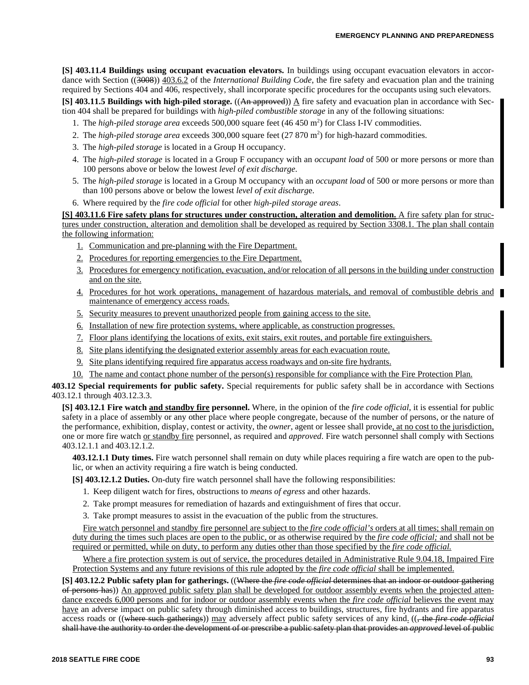**[S] 403.11.4 Buildings using occupant evacuation elevators.** In buildings using occupant evacuation elevators in accordance with Section ((3008)) 403.6.2 of the *International Building Code*, the fire safety and evacuation plan and the training required by Sections 404 and 406, respectively, shall incorporate specific procedures for the occupants using such elevators.

**[S] 403.11.5 Buildings with high-piled storage.** ((An approved)) A fire safety and evacuation plan in accordance with Section 404 shall be prepared for buildings with *high-piled combustible storage* in any of the following situations:

- 1. The *high-piled storage area* exceeds 500,000 square feet (46 450 m<sup>2</sup>) for Class I-IV commodities.
- 2. The *high-piled storage area* exceeds 300,000 square feet (27 870 m<sup>2</sup>) for high-hazard commodities.
- 3. The *high-piled storage* is located in a Group H occupancy.
- 4. The *high-piled storage* is located in a Group F occupancy with an *occupant load* of 500 or more persons or more than 100 persons above or below the lowest *level of exit discharge*.
- 5. The *high-piled storage* is located in a Group M occupancy with an *occupant load* of 500 or more persons or more than than 100 persons above or below the lowest *level of exit discharg*e.
- 6. Where required by the *fire code official* for other *high-piled storage areas*.

**[S] 403.11.6 Fire safety plans for structures under construction, alteration and demolition.** A fire safety plan for structures under construction, alteration and demolition shall be developed as required by Section 3308.1. The plan shall contain the following information:

- 1. Communication and pre-planning with the Fire Department.
- 2. Procedures for reporting emergencies to the Fire Department.
- 3. Procedures for emergency notification, evacuation, and/or relocation of all persons in the building under construction and on the site.
- 4. Procedures for hot work operations, management of hazardous materials, and removal of combustible debris and maintenance of emergency access roads.
- 5. Security measures to prevent unauthorized people from gaining access to the site.
- 6. Installation of new fire protection systems, where applicable, as construction progresses.
- 7. Floor plans identifying the locations of exits, exit stairs, exit routes, and portable fire extinguishers.
- 8. Site plans identifying the designated exterior assembly areas for each evacuation route.
- 9. Site plans identifying required fire apparatus access roadways and on-site fire hydrants.
- 10. The name and contact phone number of the person(s) responsible for compliance with the Fire Protection Plan.

**403.12 Special requirements for public safety.** Special requirements for public safety shall be in accordance with Sections 403.12.1 through 403.12.3.3.

**[S] 403.12.1 Fire watch and standby fire personnel.** Where, in the opinion of the *fire code official*, it is essential for public safety in a place of assembly or any other place where people congregate, because of the number of persons, or the nature of the performance, exhibition, display, contest or activity, the *owner*, agent or lessee shall provide, at no cost to the jurisdiction, one or more fire watch or standby fire personnel, as required and *approved*. Fire watch personnel shall comply with Sections 403.12.1.1 and 403.12.1.2.

**403.12.1.1 Duty times.** Fire watch personnel shall remain on duty while places requiring a fire watch are open to the public, or when an activity requiring a fire watch is being conducted.

**[S] 403.12.1.2 Duties.** On-duty fire watch personnel shall have the following responsibilities:

- 1. Keep diligent watch for fires, obstructions to *means of egress* and other hazards.
- 2. Take prompt measures for remediation of hazards and extinguishment of fires that occur.
- 3. Take prompt measures to assist in the evacuation of the public from the structures.

Fire watch personnel and standby fire personnel are subject to the *fire code official's* orders at all times; shall remain on duty during the times such places are open to the public, or as otherwise required by the *fire code official;* and shall not be required or permitted, while on duty, to perform any duties other than those specified by the *fire code official.*

Where a fire protection system is out of service, the procedures detailed in Administrative Rule 9.04.18, Impaired Fire Protection Systems and any future revisions of this rule adopted by the *fire code official* shall be implemented.

**[S] 403.12.2 Public safety plan for gatherings.** ((Where the *fire code official* determines that an indoor or outdoor gathering of persons has)) An approved public safety plan shall be developed for outdoor assembly events when the projected attendance exceeds 6,000 persons and for indoor or outdoor assembly events when the *fire code official* believes the event may have an adverse impact on public safety through diminished access to buildings, structures, fire hydrants and fire apparatus access roads or ((where such gatherings)) may adversely affect public safety services of any kind. ((<del>, the *fire code official*</del> shall have the authority to order the development of or prescribe a public safety plan that provides an *approved* level of public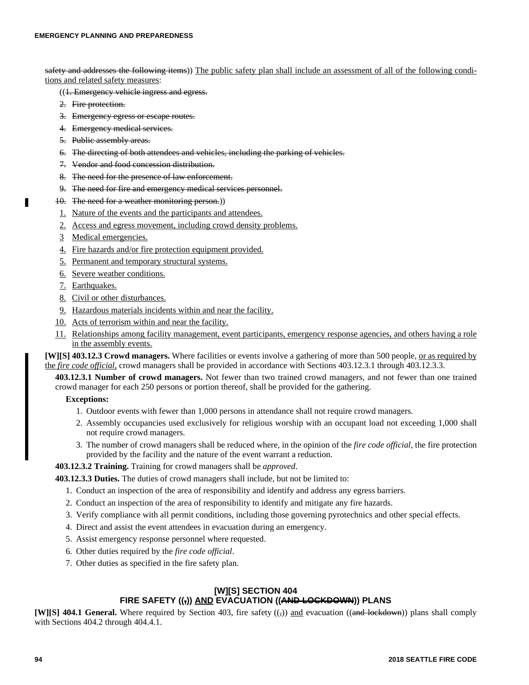safety and addresses the following items)) The public safety plan shall include an assessment of all of the following conditions and related safety measures:

- ((1. Emergency vehicle ingress and egress.
- 2. Fire protection.
- 3. Emergency egress or escape routes.
- 4. Emergency medical services.
- 5. Public assembly areas.
- 6. The directing of both attendees and vehicles, including the parking of vehicles.
- 7. Vendor and food concession distribution.
- 8. The need for the presence of law enforcement.
- 9. The need for fire and emergency medical services personnel.
- 10. The need for a weather monitoring person.))
- 1. Nature of the events and the participants and attendees.
- 2. Access and egress movement, including crowd density problems.
- 3 Medical emergencies.
- 4. Fire hazards and/or fire protection equipment provided.
- 5. Permanent and temporary structural systems.
- 6. Severe weather conditions.
- 7. Earthquakes.
- 8. Civil or other disturbances.
- 9. Hazardous materials incidents within and near the facility.
- 10. Acts of terrorism within and near the facility.
- 11. Relationships among facility management, event participants, emergency response agencies, and others having a role in the assembly events.

**[W][S] 403.12.3 Crowd managers.** Where facilities or events involve a gathering of more than 500 people, or as required by the *fire code official,* crowd managers shall be provided in accordance with Sections 403.12.3.1 through 403.12.3.3.

**403.12.3.1 Number of crowd managers.** Not fewer than two trained crowd managers, and not fewer than one trained crowd manager for each 250 persons or portion thereof, shall be provided for the gathering.

#### **Exceptions:**

- 1. Outdoor events with fewer than 1,000 persons in attendance shall not require crowd managers.
- 2. Assembly occupancies used exclusively for religious worship with an occupant load not exceeding 1,000 shall not require crowd managers.
- 3. The number of crowd managers shall be reduced where, in the opinion of the *fire code official*, the fire protection provided by the facility and the nature of the event warrant a reduction.

# **403.12.3.2 Training.** Training for crowd managers shall be *approved*.

**403.12.3.3 Duties.** The duties of crowd managers shall include, but not be limited to:

- 1. Conduct an inspection of the area of responsibility and identify and address any egress barriers.
- 2. Conduct an inspection of the area of responsibility to identify and mitigate any fire hazards.
- 3. Verify compliance with all permit conditions, including those governing pyrotechnics and other special effects.
- 4. Direct and assist the event attendees in evacuation during an emergency.
- 5. Assist emergency response personnel where requested.
- 6. Other duties required by the *fire code official*.
- 7. Other duties as specified in the fire safety plan.

# **[W][S] SECTION 404 FIRE SAFETY ((,)) AND EVACUATION ((AND LOCKDOWN)) PLANS**

**[W][S] 404.1 General.** Where required by Section 403, fire safety (( $\tau$ )) and evacuation ((and lockdown)) plans shall comply with Sections 404.2 through 404.4.1.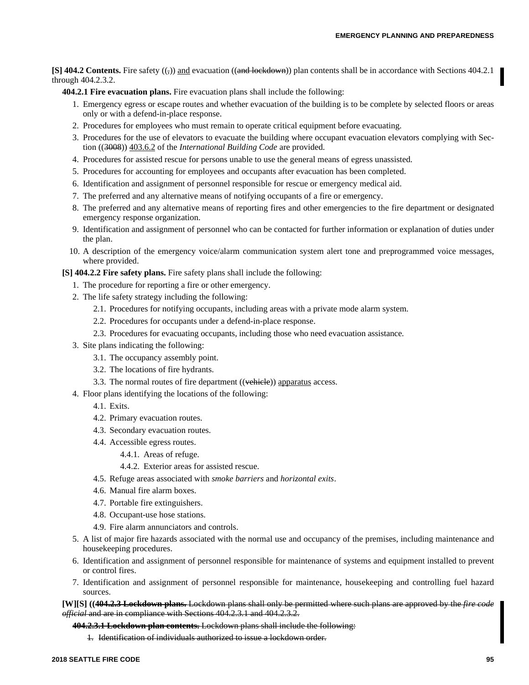**[S] 404.2 Contents.** Fire safety  $((,))$  and evacuation  $((and \text{lockdown}))$  plan contents shall be in accordance with Sections 404.2.1 through 404.2.3.2.

**404.2.1 Fire evacuation plans.** Fire evacuation plans shall include the following:

- 1. Emergency egress or escape routes and whether evacuation of the building is to be complete by selected floors or areas only or with a defend-in-place response.
- 2. Procedures for employees who must remain to operate critical equipment before evacuating.
- 3. Procedures for the use of elevators to evacuate the building where occupant evacuation elevators complying with Section ((3008)) 403.6.2 of the *International Building Code* are provided.
- 4. Procedures for assisted rescue for persons unable to use the general means of egress unassisted.
- 5. Procedures for accounting for employees and occupants after evacuation has been completed.
- 6. Identification and assignment of personnel responsible for rescue or emergency medical aid.
- 7. The preferred and any alternative means of notifying occupants of a fire or emergency.
- 8. The preferred and any alternative means of reporting fires and other emergencies to the fire department or designated emergency response organization.
- 9. Identification and assignment of personnel who can be contacted for further information or explanation of duties under the plan.
- 10. A description of the emergency voice/alarm communication system alert tone and preprogrammed voice messages, where provided.

**[S] 404.2.2 Fire safety plans.** Fire safety plans shall include the following:

- 1. The procedure for reporting a fire or other emergency.
- 2. The life safety strategy including the following:
	- 2.1. Procedures for notifying occupants, including areas with a private mode alarm system.
	- 2.2. Procedures for occupants under a defend-in-place response.
	- 2.3. Procedures for evacuating occupants, including those who need evacuation assistance.
- 3. Site plans indicating the following:
	- 3.1. The occupancy assembly point.
	- 3.2. The locations of fire hydrants.
	- 3.3. The normal routes of fire department ((vehicle)) apparatus access.
- 4. Floor plans identifying the locations of the following:
	- 4.1. Exits.
	- 4.2. Primary evacuation routes.
	- 4.3. Secondary evacuation routes.
	- 4.4. Accessible egress routes.
		- 4.4.1. Areas of refuge.
		- 4.4.2. Exterior areas for assisted rescue.
	- 4.5. Refuge areas associated with *smoke barriers* and *horizontal exits*.
	- 4.6. Manual fire alarm boxes.
	- 4.7. Portable fire extinguishers.
	- 4.8. Occupant-use hose stations.
	- 4.9. Fire alarm annunciators and controls.
- 5. A list of major fire hazards associated with the normal use and occupancy of the premises, including maintenance and housekeeping procedures.
- 6. Identification and assignment of personnel responsible for maintenance of systems and equipment installed to prevent or control fires.
- 7. Identification and assignment of personnel responsible for maintenance, housekeeping and controlling fuel hazard sources.

**[W][S] ((404.2.3 Lockdown plans.** Lockdown plans shall only be permitted where such plans are approved by the *fire code official* and are in compliance with Sections 404.2.3.1 and 404.2.3.2.

#### **404.2.3.1 Lockdown plan contents.** Lockdown plans shall include the following:

1. Identification of individuals authorized to issue a lockdown order.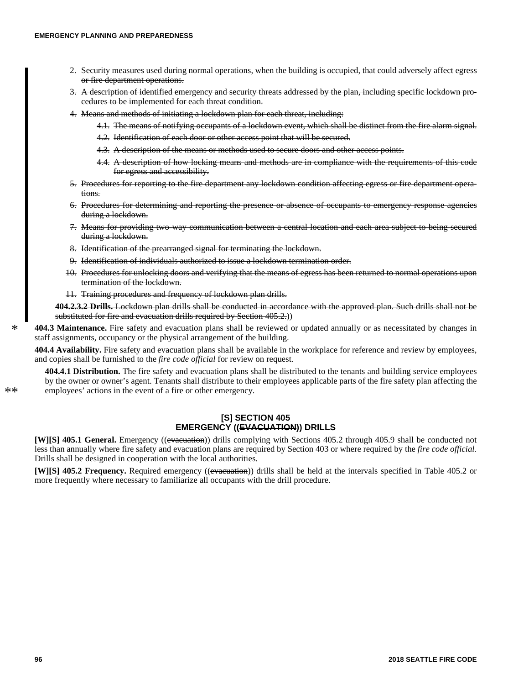- 2. Security measures used during normal operations, when the building is occupied, that could adversely affect egress or fire department operations.
- 3. A description of identified emergency and security threats addressed by the plan, including specific lockdown procedures to be implemented for each threat condition.
- 4. Means and methods of initiating a lockdown plan for each threat, including:
	- 4.1. The means of notifying occupants of a lockdown event, which shall be distinct from the fire alarm signal.
	- 4.2. Identification of each door or other access point that will be secured.
	- 4.3. A description of the means or methods used to secure doors and other access points.
	- 4.4. A description of how locking means and methods are in compliance with the requirements of this code for egress and accessibility.
- 5. Procedures for reporting to the fire department any lockdown condition affecting egress or fire department operations.
- 6. Procedures for determining and reporting the presence or absence of occupants to emergency response agencies during a lockdown.
- 7. Means for providing two-way communication between a central location and each area subject to being secured during a lockdown.
- 8. Identification of the prearranged signal for terminating the lockdown.
- 9. Identification of individuals authorized to issue a lockdown termination order.
- 10. Procedures for unlocking doors and verifying that the means of egress has been returned to normal operations upon termination of the lockdown.
- 11. Training procedures and frequency of lockdown plan drills.

**404.2.3.2 Drills.** Lockdown plan drills shall be conducted in accordance with the approved plan. Such drills shall not be substituted for fire and evacuation drills required by Section 405.2.)

**404.3 Maintenance.** Fire safety and evacuation plans shall be reviewed or updated annually or as necessitated by changes in staff assignments, occupancy or the physical arrangement of the building. \*

**404.4 Availability.** Fire safety and evacuation plans shall be available in the workplace for reference and review by employees, and copies shall be furnished to the *fire code official* for review on request.

**404.4.1 Distribution.** The fire safety and evacuation plans shall be distributed to the tenants and building service employees by the owner or owner's agent. Tenants shall distribute to their employees applicable parts of the fire safety plan affecting the employees' actions in the event of a fire or other emergency.

> **[S] SECTION 405 EMERGENCY ((EVACUATION)) DRILLS**

**[W][S] 405.1 General.** Emergency ((evacuation)) drills complying with Sections 405.2 through 405.9 shall be conducted not less than annually where fire safety and evacuation plans are required by Section 403 or where required by the *fire code official.* Drills shall be designed in cooperation with the local authorities.

**[W][S] 405.2 Frequency.** Required emergency ((evacuation)) drills shall be held at the intervals specified in Table 405.2 or more frequently where necessary to familiarize all occupants with the drill procedure.

 $**$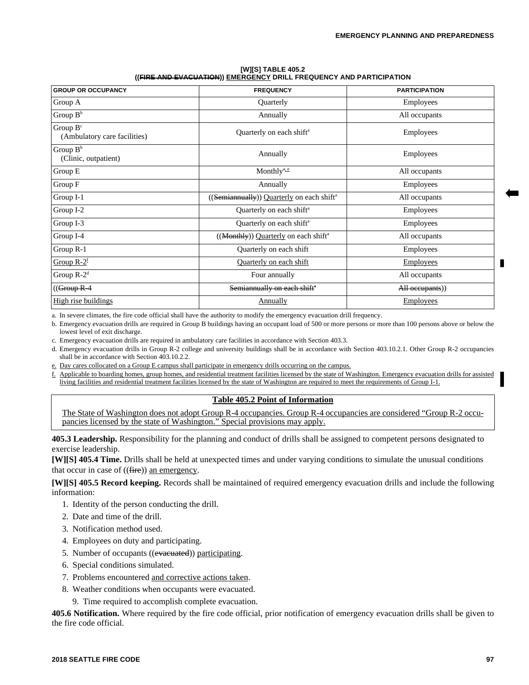#### **[W][S] TABLE 405.2 ((FIRE AND EVACUATION)) EMERGENCY DRILL FREQUENCY AND PARTICIPATION**

| <b>GROUP OR OCCUPANCY</b>                   | <b>FREQUENCY</b>                                      | <b>PARTICIPATION</b> |
|---------------------------------------------|-------------------------------------------------------|----------------------|
| Group A                                     | Quarterly                                             | Employees            |
| Group $B^b$                                 | Annually                                              | All occupants        |
| Group $B^c$<br>(Ambulatory care facilities) | Quarterly on each shift <sup>a</sup>                  | Employees            |
| Group $B^b$<br>(Clinic, outpatient)         | Annually                                              | Employees            |
| Group E                                     | Monthly <sup>a, e</sup>                               | All occupants        |
| Group F                                     | Annually                                              | Employees            |
| Group I-1                                   | ((Semiannually)) Quarterly on each shift <sup>a</sup> | All occupants        |
| Group I-2                                   | Quarterly on each shift <sup>a</sup>                  | Employees            |
| Group I-3                                   | Quarterly on each shift <sup>a</sup>                  | Employees            |
| Group I-4                                   | ((Monthly)) Quarterly on each shift <sup>a</sup>      | All occupants        |
| Group R-1                                   | Quarterly on each shift                               | Employees            |
| Group $R-2^f$                               | Quarterly on each shift                               | <b>Employees</b>     |
| Group $R-2^d$                               | Four annually                                         | All occupants        |
| (( <del>Group R-4</del>                     | Semiannually on each shift <sup>®</sup>               | All occupants))      |
| High rise buildings                         | Annually                                              | <b>Employees</b>     |

a. In severe climates, the fire code official shall have the authority to modify the emergency evacuation drill frequency.

b. Emergency evacuation drills are required in Group B buildings having an occupant load of 500 or more persons or more than 100 persons above or below the lowest level of exit discharge.

c. Emergency evacuation drills are required in ambulatory care facilities in accordance with Section 403.3.

d. Emergency evacuation drills in Group R-2 college and university buildings shall be in accordance with Section 403.10.2.1. Other Group R-2 occupancies shall be in accordance with Section 403.10.2.2.

e. Day cares collocated on a Group E campus shall participate in emergency drills occurring on the campus.

f. Applicable to boarding homes, group homes, and residential treatment facilities licensed by the state of Washington. Emergency evacuation drills for assisted living facilities and residential treatment facilities licensed by the state of Washington are required to meet the requirements of Group I-1.

# **Table 405.2 Point of Information**

The State of Washington does not adopt Group R-4 occupancies. Group R-4 occupancies are considered "Group R-2 occupancies licensed by the state of Washington." Special provisions may apply.

**405.3 Leadership.** Responsibility for the planning and conduct of drills shall be assigned to competent persons designated to exercise leadership.

**[W][S] 405.4 Time.** Drills shall be held at unexpected times and under varying conditions to simulate the unusual conditions that occur in case of  $((\text{fire}))$  an emergency.

**[W][S] 405.5 Record keeping.** Records shall be maintained of required emergency evacuation drills and include the following information:

- 1. Identity of the person conducting the drill.
- 2. Date and time of the drill.
- 3. Notification method used.
- 4. Employees on duty and participating.
- 5. Number of occupants ((evacuated)) participating.
- 6. Special conditions simulated.
- 7. Problems encountered and corrective actions taken.
- 8. Weather conditions when occupants were evacuated.
	- 9. Time required to accomplish complete evacuation.

**405.6 Notification.** Where required by the fire code official, prior notification of emergency evacuation drills shall be given to the fire code official.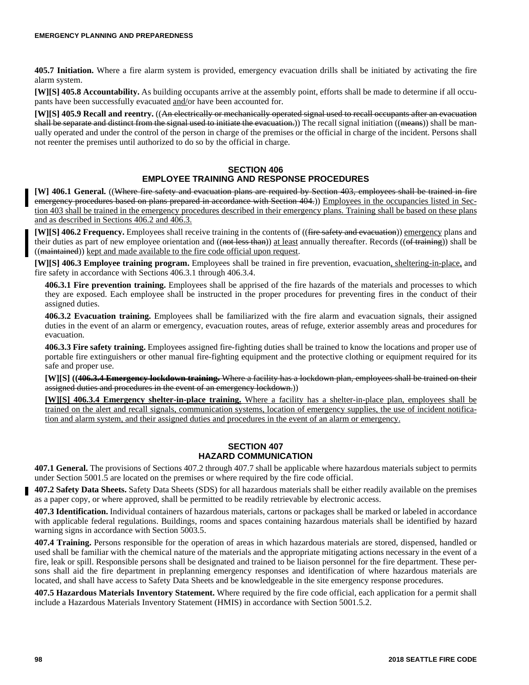**405.7 Initiation.** Where a fire alarm system is provided, emergency evacuation drills shall be initiated by activating the fire alarm system.

**[W][S] 405.8 Accountability.** As building occupants arrive at the assembly point, efforts shall be made to determine if all occupants have been successfully evacuated and/or have been accounted for.

**[W][S] 405.9 Recall and reentry.** ((An electrically or mechanically operated signal used to recall occupants after an evacuation shall be separate and distinct from the signal used to initiate the evacuation.)) The recall signal initiation ((means)) shall be manually operated and under the control of the person in charge of the premises or the official in charge of the incident. Persons shall not reenter the premises until authorized to do so by the official in charge.

# **SECTION 406 EMPLOYEE TRAINING AND RESPONSE PROCEDURES**

**[W] 406.1 General.** ((Where fire safety and evacuation plans are required by Section 403, employees shall be trained in fire emergency procedures based on plans prepared in accordance with Section 404.)) Employees in the occupancies listed in Section 403 shall be trained in the emergency procedures described in their emergency plans. Training shall be based on these plans and as described in Sections 406.2 and 406.3.

**[W][S] 406.2 Frequency.** Employees shall receive training in the contents of ((fire safety and evacuation)) emergency plans and their duties as part of new employee orientation and ((not less than)) at least annually thereafter. Records ((of training)) shall be ((maintained)) kept and made available to the fire code official upon request.

**[W][S] 406.3 Employee training program.** Employees shall be trained in fire prevention, evacuation, sheltering-in-place, and fire safety in accordance with Sections 406.3.1 through 406.3.4.

**406.3.1 Fire prevention training.** Employees shall be apprised of the fire hazards of the materials and processes to which they are exposed. Each employee shall be instructed in the proper procedures for preventing fires in the conduct of their assigned duties.

**406.3.2 Evacuation training.** Employees shall be familiarized with the fire alarm and evacuation signals, their assigned duties in the event of an alarm or emergency, evacuation routes, areas of refuge, exterior assembly areas and procedures for evacuation.

**406.3.3 Fire safety training.** Employees assigned fire-fighting duties shall be trained to know the locations and proper use of portable fire extinguishers or other manual fire-fighting equipment and the protective clothing or equipment required for its safe and proper use.

**[W][S] ((406.3.4 Emergency lockdown training.** Where a facility has a lockdown plan, employees shall be trained on their assigned duties and procedures in the event of an emergency lockdown.))

**[W][S] 406.3.4 Emergency shelter-in-place training.** Where a facility has a shelter-in-place plan, employees shall be trained on the alert and recall signals, communication systems, location of emergency supplies, the use of incident notification and alarm system, and their assigned duties and procedures in the event of an alarm or emergency.

# **SECTION 407 HAZARD COMMUNICATION**

**407.1 General.** The provisions of Sections 407.2 through 407.7 shall be applicable where hazardous materials subject to permits under Section 5001.5 are located on the premises or where required by the fire code official.

**407.2 Safety Data Sheets.** Safety Data Sheets (SDS) for all hazardous materials shall be either readily available on the premises as a paper copy, or where approved, shall be permitted to be readily retrievable by electronic access.

**407.3 Identification.** Individual containers of hazardous materials, cartons or packages shall be marked or labeled in accordance with applicable federal regulations. Buildings, rooms and spaces containing hazardous materials shall be identified by hazard warning signs in accordance with Section 5003.5.

**407.4 Training.** Persons responsible for the operation of areas in which hazardous materials are stored, dispensed, handled or used shall be familiar with the chemical nature of the materials and the appropriate mitigating actions necessary in the event of a fire, leak or spill. Responsible persons shall be designated and trained to be liaison personnel for the fire department. These persons shall aid the fire department in preplanning emergency responses and identification of where hazardous materials are located, and shall have access to Safety Data Sheets and be knowledgeable in the site emergency response procedures.

**407.5 Hazardous Materials Inventory Statement.** Where required by the fire code official, each application for a permit shall include a Hazardous Materials Inventory Statement (HMIS) in accordance with Section 5001.5.2.